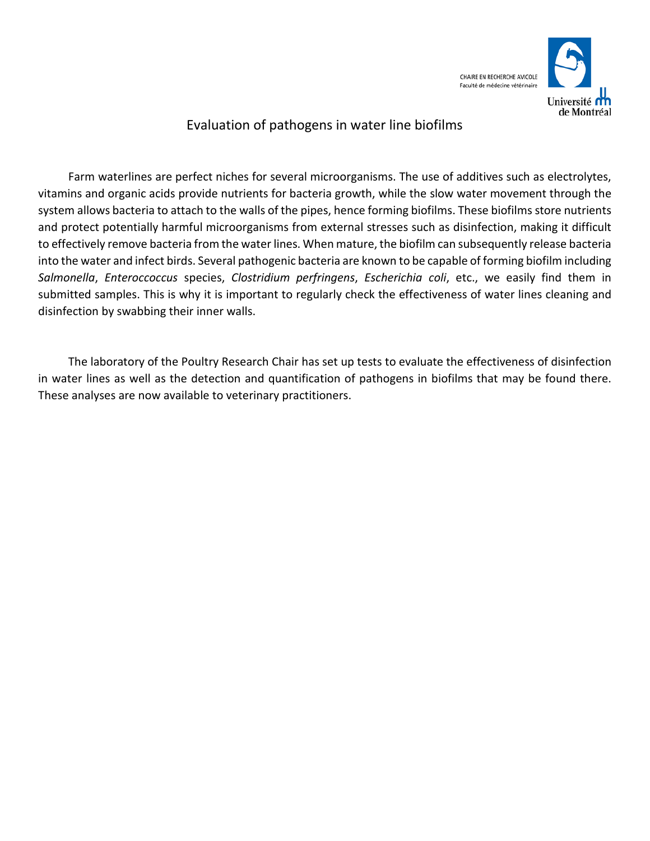

### Evaluation of pathogens in water line biofilms

Farm waterlines are perfect niches for several microorganisms. The use of additives such as electrolytes, vitamins and organic acids provide nutrients for bacteria growth, while the slow water movement through the system allows bacteria to attach to the walls of the pipes, hence forming biofilms. These biofilms store nutrients and protect potentially harmful microorganisms from external stresses such as disinfection, making it difficult to effectively remove bacteria from the water lines. When mature, the biofilm can subsequently release bacteria into the water and infect birds. Several pathogenic bacteria are known to be capable of forming biofilm including *Salmonella*, *Enteroccoccus* species, *Clostridium perfringens*, *Escherichia coli*, etc., we easily find them in submitted samples. This is why it is important to regularly check the effectiveness of water lines cleaning and disinfection by swabbing their inner walls.

The laboratory of the Poultry Research Chair has set up tests to evaluate the effectiveness of disinfection in water lines as well as the detection and quantification of pathogens in biofilms that may be found there. These analyses are now available to veterinary practitioners.